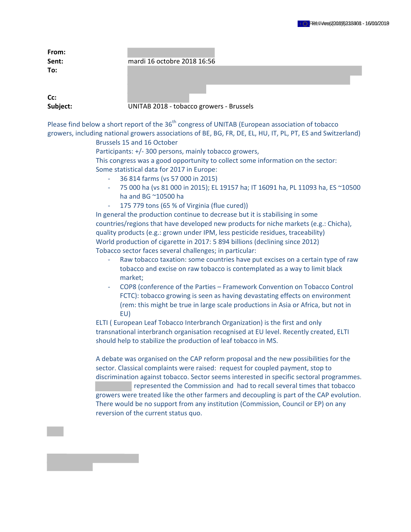| From:<br>Sent:  | mardi 16 octobre 2018 16:56              |
|-----------------|------------------------------------------|
| To:             |                                          |
| Cc:<br>Subject: | UNITAB 2018 - tobacco growers - Brussels |

Please find below a short report of the 36<sup>th</sup> congress of UNITAB (European association of tobacco growers, including national growers associations of BE, BG, FR, DE, EL, HU, IT, PL, PT, ES and Switzerland)

Brussels 15 and 16 October

Participants: +/- 300 persons, mainly tobacco growers,

This congress was a good opportunity to collect some information on the sector: Some statistical data for 2017 in Europe:

- 36 814 farms (vs 57 000 in 2015)
- 75 000 ha (vs 81 000 in 2015); EL 19157 ha; IT 16091 ha, PL 11093 ha, ES ~10500 ha and BG ~10500 ha
- 175 779 tons (65 % of Virginia (flue cured))

In general the production continue to decrease but it is stabilising in some countries/regions that have developed new products for niche markets (e.g.: Chicha), quality products (e.g.: grown under IPM, less pesticide residues, traceability) World production of cigarette in 2017: 5 894 billions (declining since 2012) Tobacco sector faces several challenges; in particular:

- Raw tobacco taxation: some countries have put excises on a certain type of raw tobacco and excise on raw tobacco is contemplated as a way to limit black market;
- COP8 (conference of the Parties Framework Convention on Tobacco Control FCTC): tobacco growing is seen as having devastating effects on environment (rem: this might be true in large scale productions in Asia or Africa, but not in EU)

ELTI ( European Leaf Tobacco Interbranch Organization) is the first and only transnational interbranch organisation recognised at EU level. Recently created, ELTI should help to stabilize the production of leaf tobacco in MS.

A debate was organised on the CAP reform proposal and the new possibilities for the sector. Classical complaints were raised: request for coupled payment, stop to discrimination against tobacco. Sector seems interested in specific sectoral programmes. represented the Commission and had to recall several times that tobacco growers were treated like the other farmers and decoupling is part of the CAP evolution. There would be no support from any institution (Commission, Council or EP) on any reversion of the current status quo.